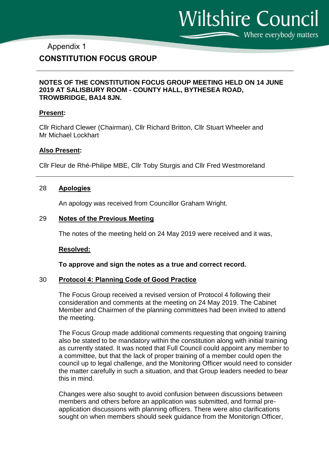Wiltshire Council Where everybody matters

### Appendix 1

## **CONSTITUTION FOCUS GROUP**

#### **NOTES OF THE CONSTITUTION FOCUS GROUP MEETING HELD ON 14 JUNE 2019 AT SALISBURY ROOM - COUNTY HALL, BYTHESEA ROAD, TROWBRIDGE, BA14 8JN.**

#### **Present:**

Cllr Richard Clewer (Chairman), Cllr Richard Britton, Cllr Stuart Wheeler and Mr Michael Lockhart

#### **Also Present:**

Cllr Fleur de Rhé-Philipe MBE, Cllr Toby Sturgis and Cllr Fred Westmoreland

#### 28 **Apologies**

An apology was received from Councillor Graham Wright.

#### 29 **Notes of the Previous Meeting**

The notes of the meeting held on 24 May 2019 were received and it was,

#### **Resolved:**

**To approve and sign the notes as a true and correct record.** 

#### 30 **Protocol 4: Planning Code of Good Practice**

The Focus Group received a revised version of Protocol 4 following their consideration and comments at the meeting on 24 May 2019. The Cabinet Member and Chairmen of the planning committees had been invited to attend the meeting.

The Focus Group made additional comments requesting that ongoing training also be stated to be mandatory within the constitution along with initial training as currently stated. It was noted that Full Council could appoint any member to a committee, but that the lack of proper training of a member could open the council up to legal challenge, and the Monitoring Officer would need to consider the matter carefully in such a situation, and that Group leaders needed to bear this in mind.

Changes were also sought to avoid confusion between discussions between members and others before an application was submitted, and formal preapplication discussions with planning officers. There were also clarifications sought on when members should seek guidance from the Monitorign Officer,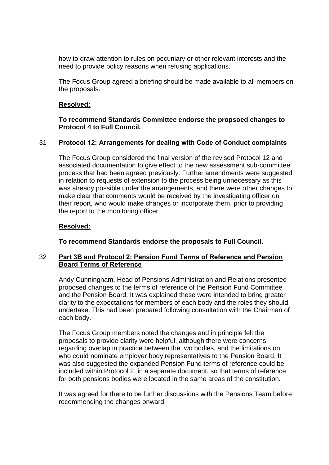how to draw attention to rules on pecuniary or other relevant interests and the need to provide policy reasons when refusing applications.

The Focus Group agreed a briefing should be made available to all members on the proposals.

### **Resolved:**

### **To recommend Standards Committee endorse the propsoed changes to Protocol 4 to Full Council.**

### 31 **Protocol 12: Arrangements for dealing with Code of Conduct complaints**

The Focus Group considered the final version of the revised Protocol 12 and associated documentation to give effect to the new assessment sub-committee process that had been agreed previously. Further amendments were suggested in relation to requests of extension to the process being unnecessary as this was already possible under the arrangements, and there were other changes to make clear that comments would be received by the investigating officer on their report, who would make changes or incorporate them, prior to providing the report to the monitoring officer.

#### **Resolved:**

**To recommend Standards endorse the proposals to Full Council.**

### 32 **Part 3B and Protocol 2: Pension Fund Terms of Reference and Pension Board Terms of Reference**

Andy Cunningham, Head of Pensions Administration and Relations presented proposed changes to the terms of reference of the Pension Fund Committee and the Pension Board. It was explained these were intended to bring greater clarity to the expectations for members of each body and the roles they should undertake. This had been prepared following consultation with the Chairman of each body.

The Focus Group members noted the changes and in principle felt the proposals to provide clarity were helpful, although there were concerns regarding overlap in practice between the two bodies, and the limitations on who could nominate employer body representatives to the Pension Board. It was also suggested the expanded Pension Fund terms of reference could be included within Protocol 2, in a separate document, so that terms of reference for both pensions bodies were located in the same areas of the constitution.

It was agreed for there to be further discussions with the Pensions Team before recommending the changes onward.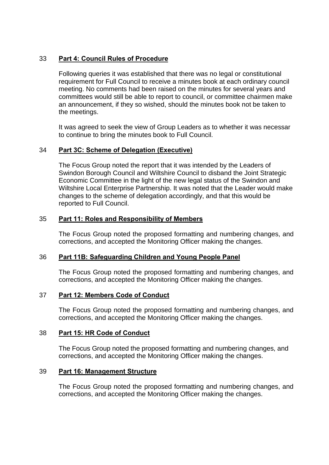## 33 **Part 4: Council Rules of Procedure**

Following queries it was established that there was no legal or constitutional requirement for Full Council to receive a minutes book at each ordinary council meeting. No comments had been raised on the minutes for several years and committees would still be able to report to council, or committee chairmen make an announcement, if they so wished, should the minutes book not be taken to the meetings.

It was agreed to seek the view of Group Leaders as to whether it was necessar to continue to bring the minutes book to Full Council.

### 34 **Part 3C: Scheme of Delegation (Executive)**

The Focus Group noted the report that it was intended by the Leaders of Swindon Borough Council and Wiltshire Council to disband the Joint Strategic Economic Committee in the light of the new legal status of the Swindon and Wiltshire Local Enterprise Partnership. It was noted that the Leader would make changes to the scheme of delegation accordingly, and that this would be reported to Full Council.

### 35 **Part 11: Roles and Responsibility of Members**

The Focus Group noted the proposed formatting and numbering changes, and corrections, and accepted the Monitoring Officer making the changes.

### 36 **Part 11B: Safeguarding Children and Young People Panel**

The Focus Group noted the proposed formatting and numbering changes, and corrections, and accepted the Monitoring Officer making the changes.

### 37 **Part 12: Members Code of Conduct**

The Focus Group noted the proposed formatting and numbering changes, and corrections, and accepted the Monitoring Officer making the changes.

### 38 **Part 15: HR Code of Conduct**

The Focus Group noted the proposed formatting and numbering changes, and corrections, and accepted the Monitoring Officer making the changes.

### 39 **Part 16: Management Structure**

The Focus Group noted the proposed formatting and numbering changes, and corrections, and accepted the Monitoring Officer making the changes.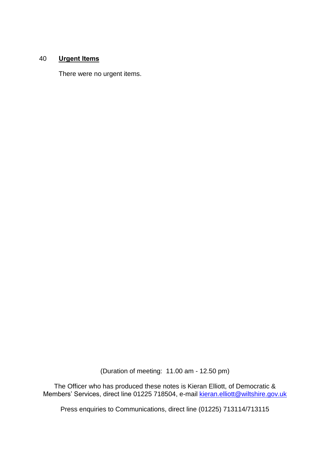## 40 **Urgent Items**

There were no urgent items.

(Duration of meeting: 11.00 am - 12.50 pm)

The Officer who has produced these notes is Kieran Elliott, of Democratic & Members' Services, direct line 01225 718504, e-mail kieran.elliott@wiltshire.gov.uk

Press enquiries to Communications, direct line (01225) 713114/713115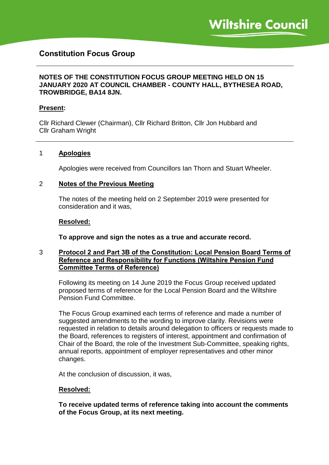# **Constitution Focus Group**

### **NOTES OF THE CONSTITUTION FOCUS GROUP MEETING HELD ON 15 JANUARY 2020 AT COUNCIL CHAMBER - COUNTY HALL, BYTHESEA ROAD, TROWBRIDGE, BA14 8JN.**

#### **Present:**

Cllr Richard Clewer (Chairman), Cllr Richard Britton, Cllr Jon Hubbard and Cllr Graham Wright

#### 1 **Apologies**

Apologies were received from Councillors Ian Thorn and Stuart Wheeler.

#### 2 **Notes of the Previous Meeting**

The notes of the meeting held on 2 September 2019 were presented for consideration and it was,

#### **Resolved:**

**To approve and sign the notes as a true and accurate record.**

#### 3 **Protocol 2 and Part 3B of the Constitution: Local Pension Board Terms of Reference and Responsibility for Functions (Wiltshire Pension Fund Committee Terms of Reference)**

Following its meeting on 14 June 2019 the Focus Group received updated proposed terms of reference for the Local Pension Board and the Wiltshire Pension Fund Committee.

The Focus Group examined each terms of reference and made a number of suggested amendments to the wording to improve clarity. Revisions were requested in relation to details around delegation to officers or requests made to the Board, references to registers of interest, appointment and confirmation of Chair of the Board, the role of the Investment Sub-Committee, speaking rights, annual reports, appointment of employer representatives and other minor changes.

At the conclusion of discussion, it was,

#### **Resolved:**

**To receive updated terms of reference taking into account the comments of the Focus Group, at its next meeting.**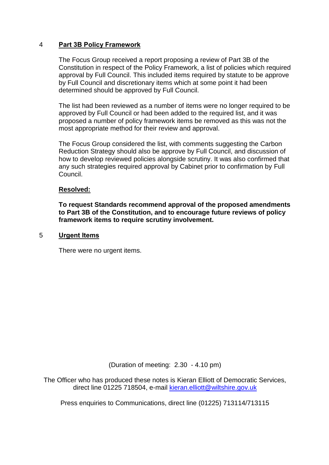### 4 **Part 3B Policy Framework**

The Focus Group received a report proposing a review of Part 3B of the Constitution in respect of the Policy Framework, a list of policies which required approval by Full Council. This included items required by statute to be approve by Full Council and discretionary items which at some point it had been determined should be approved by Full Council.

The list had been reviewed as a number of items were no longer required to be approved by Full Council or had been added to the required list, and it was proposed a number of policy framework items be removed as this was not the most appropriate method for their review and approval.

The Focus Group considered the list, with comments suggesting the Carbon Reduction Strategy should also be approve by Full Council, and discussion of how to develop reviewed policies alongside scrutiny. It was also confirmed that any such strategies required approval by Cabinet prior to confirmation by Full **Council** 

### **Resolved:**

**To request Standards recommend approval of the proposed amendments to Part 3B of the Constitution, and to encourage future reviews of policy framework items to require scrutiny involvement.**

#### 5 **Urgent Items**

There were no urgent items.

(Duration of meeting: 2.30 - 4.10 pm)

The Officer who has produced these notes is Kieran Elliott of Democratic Services, direct line 01225 718504, e-mail kieran.elliott@wiltshire.gov.uk

Press enquiries to Communications, direct line (01225) 713114/713115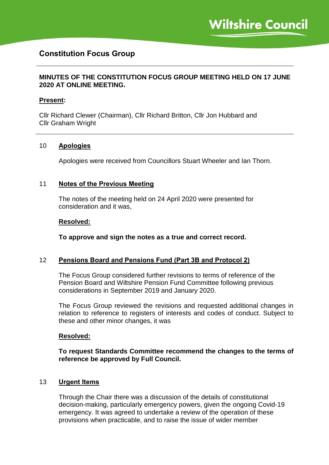# **Constitution Focus Group**

### **MINUTES OF THE CONSTITUTION FOCUS GROUP MEETING HELD ON 17 JUNE 2020 AT ONLINE MEETING.**

### **Present:**

Cllr Richard Clewer (Chairman), Cllr Richard Britton, Cllr Jon Hubbard and Cllr Graham Wright

#### 10 **Apologies**

Apologies were received from Councillors Stuart Wheeler and Ian Thorn.

#### 11 **Notes of the Previous Meeting**

The notes of the meeting held on 24 April 2020 were presented for consideration and it was,

#### **Resolved:**

**To approve and sign the notes as a true and correct record.**

#### 12 **Pensions Board and Pensions Fund (Part 3B and Protocol 2)**

The Focus Group considered further revisions to terms of reference of the Pension Board and Wiltshire Pension Fund Committee following previous considerations in September 2019 and January 2020.

The Focus Group reviewed the revisions and requested additional changes in relation to reference to registers of interests and codes of conduct. Subject to these and other minor changes, it was

#### **Resolved:**

**To request Standards Committee recommend the changes to the terms of reference be approved by Full Council.**

#### 13 **Urgent Items**

Through the Chair there was a discussion of the details of constitutional decision-making, particularly emergency powers, given the ongoing Covid-19 emergency. It was agreed to undertake a review of the operation of these provisions when practicable, and to raise the issue of wider member